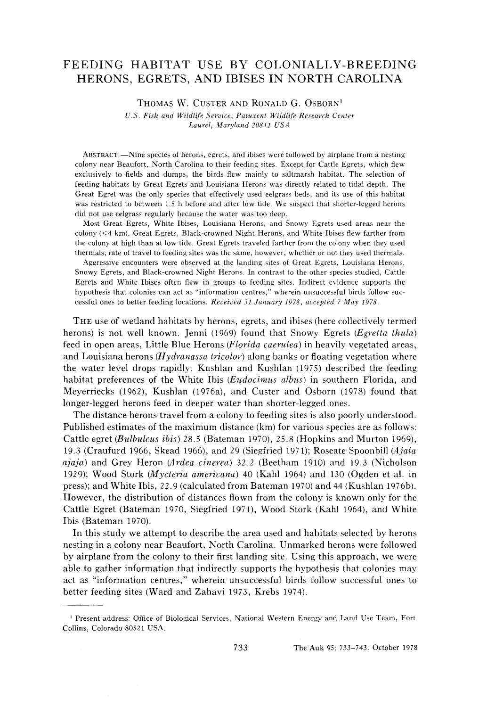# **FEEDING HABITAT USE BY COLONIALLY-BREEDING HERONS, EGRETS, AND IBISES IN NORTH CAROLINA**

THOMAS W. CUSTER AND RONALD G. OSBORN<sup>1</sup>

**U.S. Fish and Wildlife Service, Patuxent Wildlife Research Center Laurel, Maryland 20811 USA** 

**ABSTRACT.--Nine species of herons, egrets, and ibises were followed by airplane from a nesting colony near Beaufort, North Carolina to their feeding sites. Except for Cattle Egrets, which flew exclusively to fields and dumps, the birds flew mainly to saltmarsh habitat. The selection of feeding habitats by Great Egrets and Louisiana Herons was directly related to tidal depth. The Great Egret was the only species that effectively used eelgrass beds, and its use of this habitat was restricted to between 1.5 h before and after low tide. We suspect that shorter-legged herons did not use eelgrass regularly because the water was too deep.** 

**Most Great Egrets, White Ibises, Louisiana Herons, and Snowy Egrets used areas near the**  colony (<4 km). Great Egrets, Black-crowned Night Herons, and White Ibises flew farther from **the colony at high than at low tide. Great Egrets traveled farther from the colony when they used thermals; rate of travel to feeding sites was the same, however, whether or not they used thermals.** 

**Aggressive encounters were observed at the landing sites of Great Egrets, Louisiana Herons, Snowy Egrets, and Black-crowned Night Herons. In contrast to the other species studied, Cattle Egrets and White Ibises often flew in groups to feeding sites. Indirect evidence supports the hypothesis that colonies can act as "information centres," wherein unsuccessful birds follow suc cessful ones to better feeding locations. Received 31 January 1978, accepted 7 May 1978.** 

**THE use of wetland habitats by herons, egrets, and ibises (here collectively termed herons) is not well known. Jenni (1969) found that Snowy Egrets (Egretta thula) feed in open areas, Little Blue Herons (Florida caerulea) in heavily vegetated areas, and Louisiana herons (Hydranassa tricolor) along banks or floating vegetation where the water level drops rapidly. Kushlan and Kushlan (1975) described the feeding habitat preferences of the White Ibis (Eudocimus albus) in southern Florida, and Meyerriecks (1962), Kushlan (1976a), and Custer and Osborn (1978) found that longer-legged herons feed in deeper water than shorter-legged ones.** 

**The distance herons travel from a colony to feeding sites is also poorly understood. Published estimates of the maximum distance (km) for various species are as follows: Cattle egret (Bulbulcus ibis) 28.5 (Bateman 1970), 25.8 (Hopkins and Murton 1969), 19.3 (Craufurd 1966, Skead 1966), and 29 (Siegfried 1971); Roseate Spoonbill (Ajaia ajaja) and Grey Heron (Ardea cinerea) 32.2 (Beetham 1910) and 19.3 (Nicholson 1929); Wood Stork (Mycteria americana) 40 (Kahl 1964) and 130 (Ogden et al. in press); and White Ibis, 22.9 (calculated from Bateman 1970) and 44 (Kushlan 1976b). However, the distribution of distances flown from the colony is known only for the Cattle Egret (Bateman 1970, Siegfried 1971), Wood Stork (Kahl 1964), and White Ibis (Bateman 1970).** 

**In this study we attempt to describe the area used and habitats selected by herons nesting in a colony near Beaufort, North Carolina. Unmarked herons were followed by airplane from the colony to their first landing site. Using this approach, we were able to gather information that indirectly supports the hypothesis that colonies may act as "information centres," wherein unsuccessful birds follow successful ones to better feeding sites (Ward and Zahavi 1973, Krebs 1974).** 

**<sup>•</sup> Present address: Office of Biological Services, National Western Energy and Land Use Team, Fort Collins, Colorado 80521 USA.**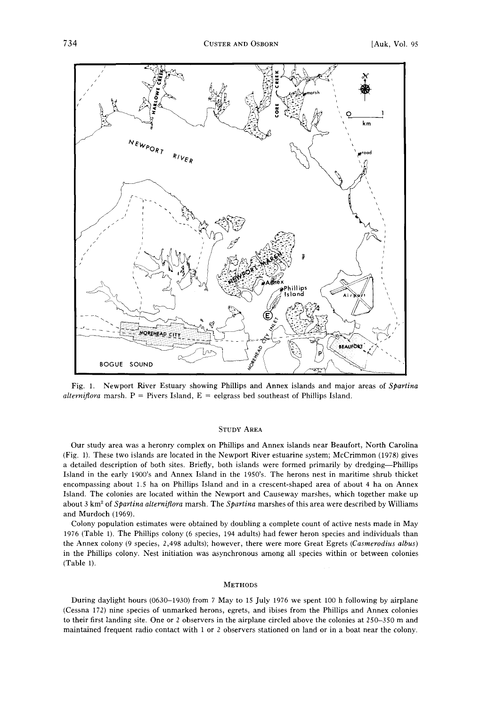

**Fig. 1. Newport River Estuary showing Phillips and Annex islands and major areas of Spartina**  *alternifiora* marsh.  $P =$  Pivers Island,  $E =$  eelgrass bed southeast of Phillips Island.

## **STUDY AREA**

**Our study area was a heronry complex on Phillips and Annex islands near Beaufort, North Carolina (Fig. 1). These two islands are located in the Newport River estuarine system; McCrimmon (1978) gives a detailed description of both sites. Briefly, both islands were formed primarily by dredging--Phillips Island in the early 1900's and Annex Island in the 1950's. The herons nest in maritime shrub thicket encompassing about 1.5 ha on Phillips Island and in a crescent-shaped area of about 4 ha on Annex Island. The colonies are located within the Newport and Causeway marshes, which together make up**  about 3 km<sup>2</sup> of *Spartina alterniflora* marsh. The *Spartina* marshes of this area were described by Williams **and Murdoch (1969).** 

**Colony population estimates were obtained by doubling a complete count of active nests made in May 1976 (Table 1). The Phillips colony (6 species, 194 adults) had fewer heron species and individuals than the Annex colony (9 species, 2,498 adults); however, there were more Great Egrets (Casmerodius albus) in the Phillips colony. Nest initiation was asynchronous among all species within or between colonies (Table 1).** 

#### **METHODS**

**During daylight hours (0630-1930) from 7 May to 15 July 1976 we spent 100 h following by airplane (Cessna 172) nine species of unmarked herons, egrets, and ibises from the Phillips and Annex colonies to their first landing site. One or 2 observers in the airplane circled above the colonies at 250-350 m and maintained frequent radio contact with 1 or 2 observers stationed on land or in a boat near the colony.**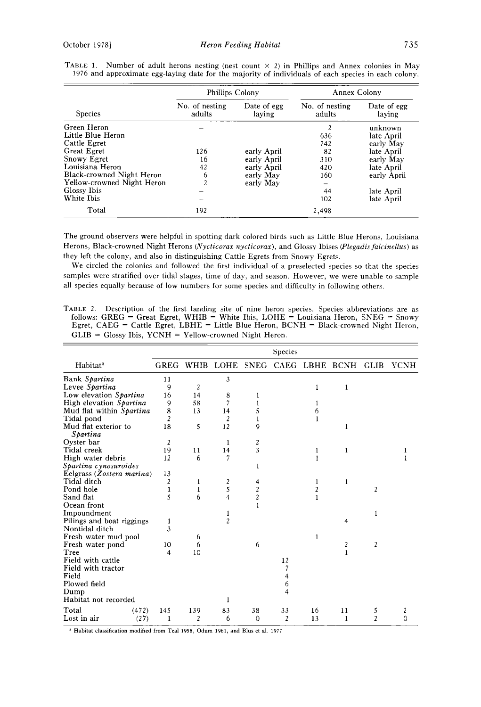|                            | Phillips Colony          |                       | Annex Colony             |                       |  |
|----------------------------|--------------------------|-----------------------|--------------------------|-----------------------|--|
| <b>Species</b>             | No. of nesting<br>adults | Date of egg<br>laving | No. of nesting<br>adults | Date of egg<br>laying |  |
| Green Heron                |                          |                       | $\overline{2}$           | unknown               |  |
| Little Blue Heron          |                          |                       | 636                      | late April            |  |
| Cattle Egret               |                          |                       | 742                      | early May             |  |
| Great Egret                | 126                      | early April           | 82                       | late April            |  |
| Snowy Egret                | 16                       | early April           | 310                      | early May             |  |
| Louisiana Heron            | 42                       | early April           | 420                      | late April            |  |
| Black-crowned Night Heron  | 6                        | early May             | 160                      | early April           |  |
| Yellow-crowned Night Heron | $\overline{a}$           | early May             |                          |                       |  |
| Glossy Ibis                |                          |                       | 44                       | late April            |  |
| White Ibis                 |                          |                       | 102                      | late April            |  |
| Total                      | 192                      |                       | 2,498                    |                       |  |

**TABLE 1.** Number of adult herons nesting (nest count  $\times$  2) in Phillips and Annex colonies in May **1976 and approximate egg-laying date for the majority of individuals of each species in each colony.** 

**The ground observers were helpful in spotting dark colored birds such as Little Blue Herons, Louisiana Herons, Black-crowned Night Herons (Nycticorax nycticorax), and Glossy Ibises (Plegadisfalcinellus) as they left the colony, and also in distinguishing Cattle Egrets from Snowy Egrets.** 

**We circled the colonies and followed the first individual of a preselected species so that the species samples were stratified over tidal stages, time of day, and season. However, we were unable to sample all species equally because of low numbers for some species and difficulty in following others.** 

**TABLE 2. Description of the first landing site of nine heron species. Species abbreviations are as follows: GREG = Great Egret, WHIB = White Ibis, LOHE = Louisiana Heron, SNEG = Snowy Egret, CAEG = Cattle Egret, LBHE = Little Blue Heron, BCNH = Black-crowned Night Heron, GLIB = Glossy Ibis, YCNH = Yellow-crowned Night Heron.** 

|                                  |             |             |                         |                  | Species     |              |                  |                |             |
|----------------------------------|-------------|-------------|-------------------------|------------------|-------------|--------------|------------------|----------------|-------------|
| Habitat <sup>a</sup>             | <b>GREG</b> | <b>WHIB</b> | LOHE                    | <b>SNEG</b>      | <b>CAEG</b> | LBHE         | BCNH             | GLIB           | <b>YCNH</b> |
| Bank Spartina                    | 11          |             | 3                       |                  |             |              |                  |                |             |
| Levee Spartina                   | 9           | 2           |                         |                  |             | 1            | 1                |                |             |
| Low elevation Spartina           | 16          | 14          | 8                       |                  |             |              |                  |                |             |
| High elevation Spartina          | 9           | 58          | 7                       |                  |             |              |                  |                |             |
| Mud flat within Spartina         | 8           | 13          | 14                      | 5                |             | 6            |                  |                |             |
| Tidal pond                       | 2           |             | 2                       |                  |             | 1            |                  |                |             |
| Mud flat exterior to<br>Spartina | 18          | 5           | 12                      | 9                |             |              | 1                |                |             |
| Oyster bar                       | 2           |             | 1                       | 2                |             |              |                  |                |             |
| Tidal creek                      | 19          | 11          | 14                      | 3                |             | 1            | 1                |                |             |
| High water debris                | 12          | 6           | 7                       |                  |             | $\mathbf{1}$ |                  |                |             |
| Spartina cynosuroides            |             |             |                         | 1                |             |              |                  |                |             |
| Eelgrass (Zostera marina)        | 13          |             |                         |                  |             |              |                  |                |             |
| Tidal ditch                      | 2           | 1           | 2                       | 4                |             | 1            | 1                |                |             |
| Pond hole                        | 1           | 1           | 5                       | $\boldsymbol{2}$ |             | 2            |                  | 2              |             |
| Sand flat                        | 5           | 6           | $\overline{\mathbf{4}}$ | $\overline{c}$   |             | 1            |                  |                |             |
| Ocean front                      |             |             |                         | $\mathbf{1}$     |             |              |                  |                |             |
| Impoundment                      |             |             | 1                       |                  |             |              |                  | 1              |             |
| Pilings and boat riggings        | 1           |             | $\overline{c}$          |                  |             |              | 4                |                |             |
| Nontidal ditch                   | 3           |             |                         |                  |             |              |                  |                |             |
| Fresh water mud pool             |             | 6           |                         |                  |             | 1            |                  |                |             |
| Fresh water pond                 | 10          | 6           |                         | 6                |             |              | $\boldsymbol{2}$ | 2              |             |
| Tree                             | 4           | 10          |                         |                  |             |              | $\mathbf{1}$     |                |             |
| Field with cattle                |             |             |                         |                  | 12          |              |                  |                |             |
| Field with tractor               |             |             |                         |                  | 7           |              |                  |                |             |
| Field                            |             |             |                         |                  | 4           |              |                  |                |             |
| Plowed field                     |             |             |                         |                  | 6           |              |                  |                |             |
| Dump                             |             |             |                         |                  | 4           |              |                  |                |             |
| Habitat not recorded             |             |             |                         |                  |             |              |                  |                |             |
| Total<br>(472)                   | 145         | 139         | 83                      | 38               | 33          | 16           | 11               | 5              | 2           |
| Lost in air<br>(27)              | 1           | 2           | 6                       | $\overline{0}$   | 2           | 13           | 1                | $\overline{c}$ | $\Omega$    |

**a Habitat classification modified from Teal 1958, Odum 1961, and Blus et al. 1977**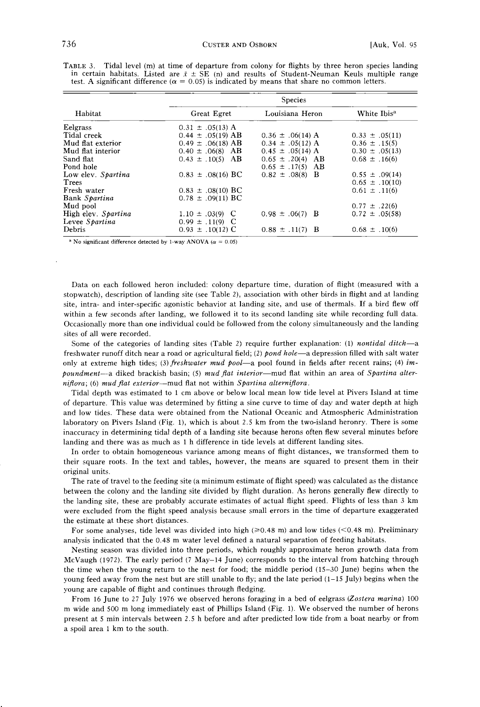|                       | <b>Species</b>                                                                                                      |                         |  |  |  |
|-----------------------|---------------------------------------------------------------------------------------------------------------------|-------------------------|--|--|--|
| Great Egret           | Louisiana Heron                                                                                                     | White Ibis <sup>a</sup> |  |  |  |
| $0.31 \pm .05(13)$ A  |                                                                                                                     |                         |  |  |  |
| $0.44 \pm .05(19)$ AB | $0.36 \pm .06(14)$ A                                                                                                | $0.33 \pm .05(11)$      |  |  |  |
| $0.49 \pm .06(18)$ AB | $0.34 \pm .05(12)$ A                                                                                                | $0.36 \pm .15(5)$       |  |  |  |
|                       | $0.45 \pm .05(14)$ A                                                                                                | $0.30 \pm .05(13)$      |  |  |  |
|                       |                                                                                                                     | $0.68 \pm .16(6)$       |  |  |  |
|                       | $0.65 \pm .17(5)$ AB                                                                                                |                         |  |  |  |
| $0.83 \pm .08(16)$ BC | $0.82 \pm .08(8)$ B                                                                                                 | $0.55 \pm .09(14)$      |  |  |  |
|                       |                                                                                                                     | $0.65 \pm .10(10)$      |  |  |  |
|                       |                                                                                                                     | $0.61 \pm .11(6)$       |  |  |  |
| $0.78 \pm .09(11)$ BC |                                                                                                                     |                         |  |  |  |
|                       |                                                                                                                     | $0.77 \pm .22(6)$       |  |  |  |
|                       | $0.98 \pm .06(7)$ B                                                                                                 | $0.72 \pm .05(58)$      |  |  |  |
|                       |                                                                                                                     |                         |  |  |  |
| $0.93 \pm .10(12)$ C  | $0.88 \pm .11(7)$ B                                                                                                 | $0.68 \pm .10(6)$       |  |  |  |
|                       | $0.40 \pm .06(8)$ AB<br>$0.43 \pm .10(5)$ AB<br>$0.83 \pm .08(10)$ BC<br>$1.10 \pm .03(9)$ C<br>$0.99 \pm .11(9)$ C | $0.65 \pm .20(4)$ AB    |  |  |  |

**TABLE 3. Tidal level (m) at time of departure from colony for flights by three heron species landing**  in certain habitats. Listed are  $\bar{x} \pm \overline{\text{SE}}$  (n) and results of Student-Neuman Keuls multiple range test. A significant difference ( $\alpha = 0.05$ ) is indicated by means that share no common letters.

<sup>a</sup> No significant difference detected by 1-way ANOVA ( $\alpha$  = 0.05)

**Data on each followed heron included: colony departure time, duration of flight (measured with a stopwatch), description of landing site (see Table 2), association with other birds in flight and at landing site, intra- and inter-specific agonistic behavior at landing site, and use of thermals. If a bird flew off within a few seconds after landing, we followed it to its second landing site while recording full data. Occasionally more than one individual could be followed from the colony simultaneously and the landing sites of all were recorded.** 

Some of the categories of landing sites (Table 2) require further explanation: (1) *nontidal ditch*-a freshwater runoff ditch near a road or agricultural field; (2) pond hole—a depression filled with salt water only at extreme high tides; (3) freshwater mud pool—a pool found in fields after recent rains; (4) impoundment—a diked brackish basin; (5) mud flat interior—mud flat within an area of Spartina alter**nifiora; (6) mud fiat exterior--mud flat not within Spartina alternifiora.** 

**Tidal depth was estimated to ! cm above or below local mean low tide level at Pivers Island at time of departure. This value was determined by fitting a sine curve to time of day and water depth at high and low tides. These data were obtained from the National Oceanic and Atmospheric Administration laboratory on Pivers Island (Fig. 1), which is about 2.5 km from the two-island heronry. There is some inaccuracy in determining tidal depth of a landing site because herons often flew several minutes before landing and there was as much as 1 h difference in tide levels at different landing sites.** 

**In order to obtain homogeneous variance among means of flight distances, we transformed them to their square roots. In the text and tables, however, the means are squared to present them in their original units.** 

**The rate of travel to the feeding site (a minimum estimate of flight speed) was calculated as the distance between the colony and the landing site divided by flight duration. As herons generally flew directly to the landing site, these are probably accurate estimates of actual flight speed. Flights of less than 3 km were excluded from the flight speed analysis because small errors in the time of departure exaggerated the estimate at these short distances.** 

For some analyses, tide level was divided into high ( $\geq 0.48$  m) and low tides (<0.48 m). Preliminary **analysis indicated that the 0.48 m water level defined a natural separation of feeding habitats.** 

**Nesting season was divided into three periods, which roughly approximate heron growth data from McVaugh (1972). The early period (7 May-14 June) corresponds to the interval from hatching through the time when the young return to the nest for food; the middle period (15-30 June) begins when the young feed away from the nest but are still unable to fly; and the late period (1-15 July) begins when the young are capable of flight and continues through fledging.** 

**From 16 June to 27 July 1976 we observed herons foraging in a bed of eelgrass (Zostera marina) 100 m wide and 500 m long immediately east of Phillips Island (Fig. 1). We observed the number of herons present at 5 min intervals between 2.5 h before and after predicted low tide from a boat nearby or from a spoil area ! km to the south.**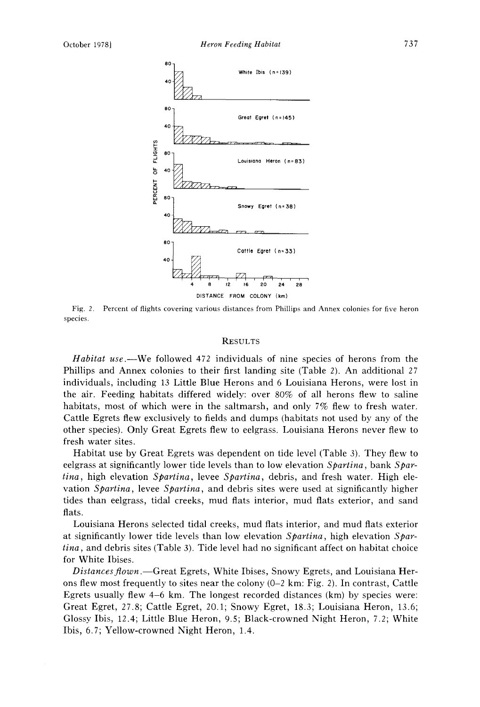

**Fig. 2. Percent of flights covering various distances from Phillips and Annex colonies for five heron species.** 

## **RESULTS**

**Habitat use.--We followed 472 individuals of nine species of herons from the Phillips and Annex colonies to their first landing site (Table 2). An additional 27 individuals, including 13 Little Blue Herons and 6 Louisiana Herons, were lost in the air. Feeding habitats differed widely: over 80% of all herons flew to saline habitats, most of which were in the saltmarsh, and only 7% flew to fresh water. Cattle Egrets flew exclusively to fields and dumps (habitats not used by any of the other species). Only Great Egrets flew to eelgrass. Louisiana Herons never flew to fresh water sites.** 

**Habitat use by Great Egrets was dependent on tide level (Table 3). They flew to eelgrass at significantly lower tide levels than to low elevation Spartina, bank Spartina, high elevation Spartina, levee Spartina, debris, and fresh water. High elevation Spartina, levee Spartina, and debris sites were used at significantly higher tides than eelgrass, tidal creeks, mud flats interior, mud flats exterior, and sand flats.** 

**Louisiana Herons selected tidal creeks, mud flats interior, and mud flats exterior at significantly lower tide levels than low elevation Spartina, high elevation Spartina, and debris sites (Table 3). Tide level had no significant affect on habitat choice for White Ibises.** 

Distances flown.—Great Egrets, White Ibises, Snowy Egrets, and Louisiana Her**ons flew most frequently to sites near the colony (0-2 km: Fig. 2). In contrast, Cattle Egrets usually flew 4-6 km. The longest recorded distances (km) by species were: Great Egret, 27.8; Cattle Egret, 20.1; Snowy Egret, 18.3; Louisiana Heron, 13.6; Glossy Ibis, 12.4; Little Blue Heron, 9.5; Black-crowned Night Heron, 7.2; White Ibis, 6.7; Yellow-crowned Night Heron, 1.4.**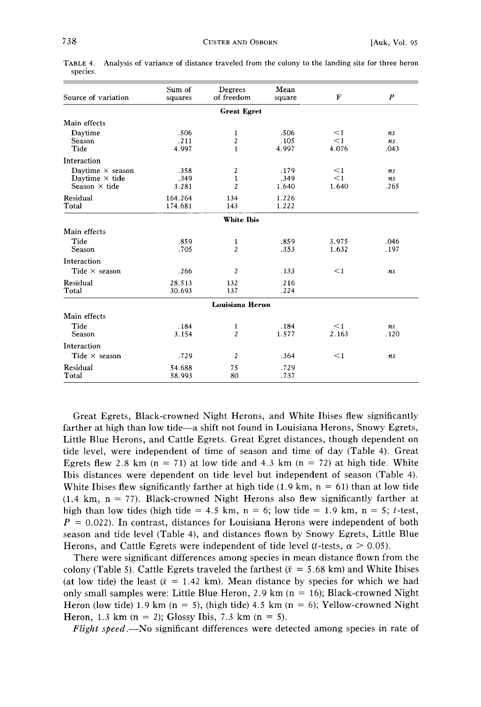| Source of variation                                                      | Sum of<br>squares     | Degrees<br>of freedom                 | Mean<br>square        | F                             | P                |
|--------------------------------------------------------------------------|-----------------------|---------------------------------------|-----------------------|-------------------------------|------------------|
|                                                                          |                       | <b>Great Egret</b>                    |                       |                               |                  |
| Main effects                                                             |                       |                                       |                       |                               |                  |
| Daytime<br>Season<br>Tide                                                | .506<br>.211<br>4.997 | 1<br>$\boldsymbol{2}$<br>$\mathbf{1}$ | .506<br>.105<br>4.997 | $\leq$ 1<br>$\leq$ 1<br>4.076 | ns<br>ns<br>.043 |
| Interaction                                                              |                       |                                       |                       |                               |                  |
| Daytime $\times$ season<br>Daytime $\times$ tide<br>Season $\times$ tide | .358<br>.349<br>3.281 | 2<br>$\mathbf{1}$<br>$\overline{c}$   | .179<br>.349<br>1.640 | $\leq$ 1<br>$\leq$ 1<br>1.640 | ns<br>ns<br>.265 |
| Residual<br>Total                                                        | 164.264<br>174.681    | 134<br>143                            | 1.226<br>1.222        |                               |                  |
|                                                                          |                       | White Ibis                            |                       |                               |                  |
| Main effects                                                             |                       |                                       |                       |                               |                  |
| Tide<br>Season                                                           | .859<br>.705          | 1<br>$\overline{c}$                   | .859<br>.353          | 3.975<br>1.632                | .046<br>.197     |
| <b>Interaction</b>                                                       |                       |                                       |                       |                               |                  |
| Tide $\times$ season                                                     | .266                  | 2                                     | .133                  | $\leq$ 1                      | ns               |
| Residual<br>Total                                                        | 28.513<br>30.693      | 132<br>137                            | .216<br>.224          |                               |                  |
|                                                                          |                       | <b>Louisiana Heron</b>                |                       |                               |                  |
| Main effects<br>Tide<br>Season                                           | .184<br>3.154         | 1<br>2                                | .184<br>1.577         | $\leq$ 1<br>2.163             | ns<br>.120       |
| Interaction                                                              |                       |                                       |                       |                               |                  |
| Tide $\times$ season                                                     | .729                  | $\overline{c}$                        | .364                  | $\leq$ 1                      | ns               |
| Residual<br>Total                                                        | 54.688<br>58.993      | 75<br>80                              | .729<br>.737          |                               |                  |

**TABLE 4. species. Analysis of variance of distance traveled from the colony to the landing site for three heron** 

**Great Egrets, Black-crowned Night Herons, and White Ibises flew significantly**  farther at high than low tide—a shift not found in Louisiana Herons, Snowy Egrets, **Little Blue Herons, and Cattle Egrets. Great Egret distances, though dependent on tide level, were independent of time of season and time of day (Table 4). Great**  Egrets flew 2.8 km  $(n = 71)$  at low tide and 4.3 km  $(n = 72)$  at high tide. White **Ibis distances were dependent on tide level but independent of season (Table 4).**  White Ibises flew significantly farther at high tide  $(1.9 \text{ km}, \text{n} = 61)$  than at low tide  $(1.4 \text{ km}, \text{ n} = 77)$ . Black-crowned Night Herons also flew significantly farther at high than low tides (high tide  $= 4.5$  km, n  $= 6$ ; low tide  $= 1.9$  km, n  $= 5$ ; t-test,  $P = 0.022$ ). In contrast, distances for Louisiana Herons were independent of both **season and tide level (Table 4), and distances flown by Snowy Egrets, Little Blue**  Herons, and Cattle Egrets were independent of tide level (*t*-tests,  $\alpha > 0.05$ ).

**There were significant differences among species in mean distance flown from the**  colony (Table 5). Cattle Egrets traveled the farthest  $(\bar{x} = 5.68 \text{ km})$  and White Ibises (at low tide) the least  $(\bar{x} = 1.42 \text{ km})$ . Mean distance by species for which we had **only small samples were: Little Blue Heron, 2.9 km (n = 16); Black-crowned Night Heron (low tide) 1.9 km (n = 5), (high tide) 4.5 km (n = 6); Yellow-crowned Night Heron, 1.3 km (n = 2); Glossy Ibis, 7.3 km (n = 5).** 

**Flight speed.—No significant differences were detected among species in rate of**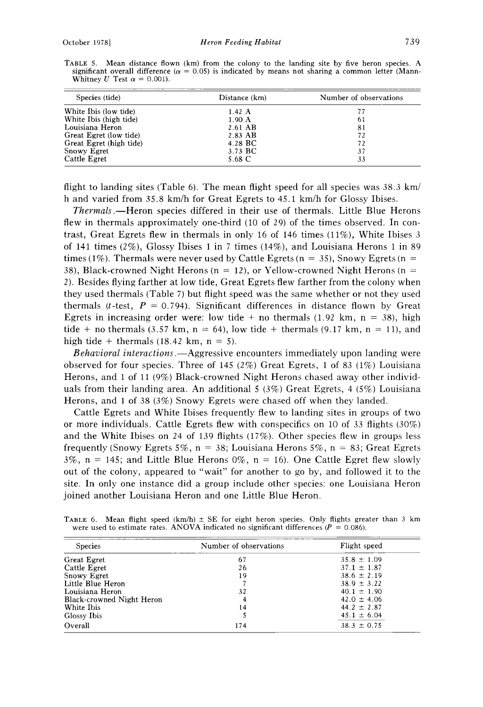| Species (tide)          | Distance (km) | Number of observations |
|-------------------------|---------------|------------------------|
| White Ibis (low tide)   | 1.42A         | 77                     |
| White Ibis (high tide)  | 1.90 A        | 61                     |
| Louisiana Heron         | 2.61 AB       | 81                     |
| Great Egret (low tide)  | 2.83 AB       | 72                     |
| Great Egret (high tide) | 4.28 BC       | 72                     |
| Snowy Egret             | 3.73 BC       | 37                     |
| Cattle Egret            | 5.68 C        | 33                     |

**TABLE 5. Mean distance flown (km) from the colony to the landing site by five heron species. A**  significant overall difference ( $\alpha = 0.05$ ) is indicated by means not sharing a common letter (Mann-Whitney U Test  $\alpha = 0.001$ .

flight to landing sites (Table 6). The mean flight speed for all species was 38.3 km/ **h and varied from 35.8 km/h for Great Egrets to 45. i km/h for Glossy Ibises.** 

**Thermals.--Heron species differed in their use of thermals. Little Blue Herons flew in thermals approximately one-third (10 of 29) of the times observed. In contrast, Great Egrets flew in thermals in only 16 of 146 times (11%), White Ibises 3 of 141 times (2%), Glossy Ibises 1 in 7 times (14%), and Louisiana Herons i in 89**  times (1%). Thermals were never used by Cattle Egrets ( $n = 35$ ), Snowy Egrets ( $n =$ **38), Black-crowned Night Herons (n = 12), or Yellow-crowned Night Herons (n = 2). Besides flying farther at low tide, Great Egrets flew farther from the colony when they used thermals (Table 7) but flight speed was the same whether or not they used**  thermals (*t*-test,  $P = 0.794$ ). Significant differences in distance flown by Great Egrets in increasing order were: low tide  $+$  no thermals (1.92 km,  $n = 38$ ), high tide + no thermals (3.57 km,  $n = 64$ ), low tide + thermals (9.17 km,  $n = 11$ ), and high tide  $+$  thermals (18.42 km,  $n = 5$ ).

**Behavioral interactions.—Aggressive encounters immediately upon landing were observed for four species. Three of 145 (2%) Great Egrets, i of 83 (1%) Louisiana Herons, and i of 11 (9%) Black-crowned Night Herons chased away other individuals from their landing area. An additional 5 (3%) Great Egrets, 4 (5%) Louisiana Herons, and i of 38 (3%) Snowy Egrets were chased off when they landed.** 

**Cattle Egrets and White Ibises frequently flew to landing sites in groups of two or more individuals. Cattle Egrets flew with conspecifics on i0 of 33 flights (30%) and the White Ibises on 24 of 139 flights (17%). Other species flew in groups less frequently (Snowy Egrets 5%, n = 38; Louisiana Herons 5%, n = 83; Great Egrets**   $3\%$ , n = 145; and Little Blue Herons  $0\%$ , n = 16). One Cattle Egret flew slowly **out of the colony, appeared to "wait" for another to go by, and followed it to the site. In only one instance did a group include other species: one Louisiana Heron joined another Louisiana Heron and one Little Blue Heron.** 

| <b>Species</b>            | Number of observations | Flight speed    |
|---------------------------|------------------------|-----------------|
| Great Egret               | 67                     | $35.8 \pm 1.09$ |
| Cattle Egret              | 26                     | $37.1 \pm 1.87$ |
| Snowy Egret               | 19                     | $38.6 \pm 2.19$ |
| Little Blue Heron         |                        | $38.9 \pm 3.22$ |
| Louisiana Heron           | 32                     | $40.1 \pm 1.90$ |
| Black-crowned Night Heron | 4                      | $42.0 \pm 4.06$ |
| White Ibis                | 14                     | $44.2 \pm 2.87$ |
| Glossy Ibis               |                        | $45.1 \pm 6.04$ |
| Overall                   | 174                    | $38.3 \pm 0.75$ |

**TABLE 6.** Mean flight speed  $(km/h) \pm SE$  for eight heron species. Only flights greater than 3 km were used to estimate rates. ANOVA indicated no significant differences ( $P = 0.086$ ).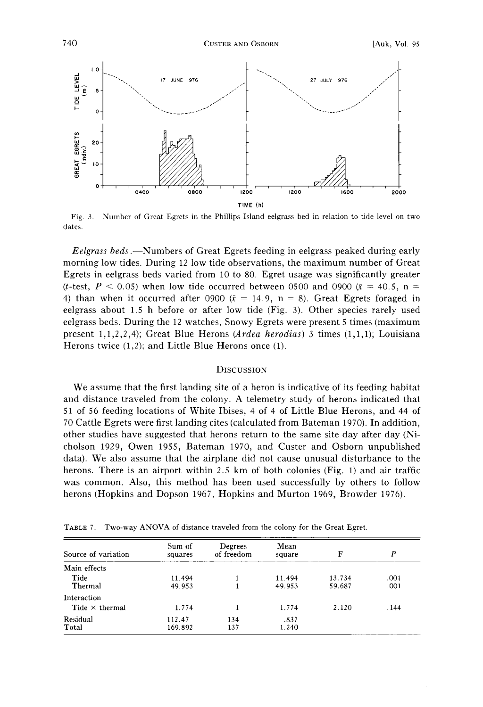

**Fig. 3. Number of Great Egrets in the Phillips Island eelgrass bed in relation to tide level on two dates.** 

**Eelgrass beds.--Numbers of Great Egrets feeding in eelgrass peaked during early morning low tides. During 12 low tide observations, the maximum number of Great Egrets in eelgrass beds varied from 10 to 80. Egret usage was significantly greater**  (*t*-test,  $P < 0.05$ ) when low tide occurred between 0500 and 0900 ( $\bar{x} = 40.5$ , n = 4) than when it occurred after 0900  $(\bar{x} = 14.9, n = 8)$ . Great Egrets foraged in **eelgrass about 1.5 h before or after low tide (Fig. 3). Other species rarely used eelgrass beds. During the 12 watches, Snowy Egrets were present 5 times (maximum present 1,1,2,2,4); Great Blue Herons (Ardea herodias) 3 times (1,1,1); Louisiana Herons twice (1,2); and Little Blue Herons once (1).** 

# **DISCUSSION**

**We assume that the first landing site of a heron is indicative of its feeding habitat and distance traveled from the colony. A telemetry study of herons indicated that 51 of 56 feeding locations of White Ibises, 4 of 4 of Little Blue Herons, and 44 of 70 Cattle Egrets were first landing cites (calculated from Bateman 1970). In addition, other studies have suggested that herons return to the same site day after day (Nicholson 1929, Owen 1955, Bateman 1970, and Custer and Osborn unpublished data). We also assume that the airplane did not cause unusual disturbance to the herons. There is an airport within 2.5 km of both colonies (Fig. 1) and air traffic was common. Also, this method has been used successfully by others to follow herons (Hopkins and Dopson 1967, Hopkins and Murton 1969, Browder 1976).** 

| Source of variation   | Sum of<br>squares | Degrees<br>of freedom | Mean<br>square   | F                | P            |
|-----------------------|-------------------|-----------------------|------------------|------------------|--------------|
| Main effects          |                   |                       |                  |                  |              |
| Tide<br>Thermal       | 11.494<br>49.953  |                       | 11.494<br>49.953 | 13.734<br>59.687 | .001<br>.001 |
| Interaction           |                   |                       |                  |                  |              |
| Tide $\times$ thermal | 1.774             |                       | 1.774            | 2.120            | . 144        |
| Residual<br>Total     | 112.47<br>169.892 | 134<br>137            | .837<br>1.240    |                  |              |

TABLE 7. Two-way ANOVA of distance traveled from the colony for the Great Egret.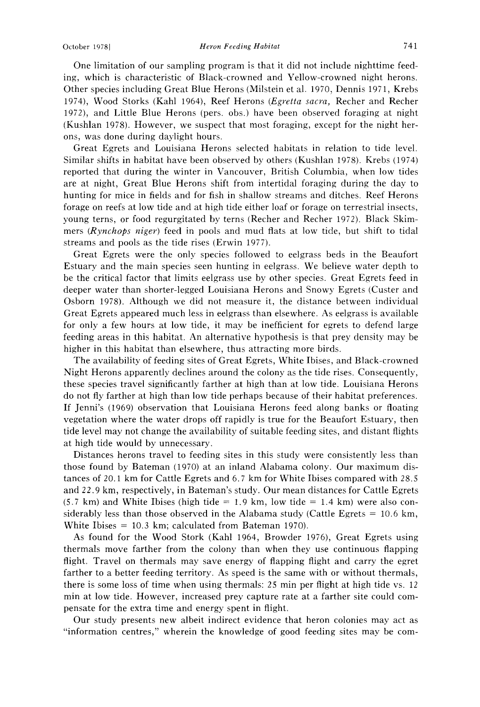**One limitation of our sampling program is that it did not include nighttime feeding, which is characteristic of Black-crowned and Yellow-crowned night herons. Other species including Great Blue Herons (Milstein et al. 1970, Dennis 1971, Krebs 1974), Wood Storks (Kahl 1964), Reef Herons (Egretta sacra, Recher and Recher 1972), and Little Blue Herons (pers. obs.) have been observed foraging at night (Kushlan 1978). However, we suspect that most foraging, except for the night herons, was done during daylight hours.** 

**Great Egrets and Louisiana Herons selected habitats in relation to tide level. Similar shifts in habitat have been observed by others (Kushlan 1978). Krebs (1974) reported that during the winter in Vancouver, British Columbia, when low tides are at night, Great Blue Herons shift from intertidal foraging during the day to hunting for mice in fields and for fish in shallow streams and ditches. Reef Herons forage on reefs at low tide and at high tide either loaf or forage on terrestrial insects, young terns, or food regurgitated by terns (Recher and Recher 1972). Black Skimmers (Rynchops niger) feed in pools and mud flats at low tide, but shift to tidal streams and pools as the tide rises (Erwin 1977).** 

**Great Egrets were the only species followed to eelgrass beds in the Beaufort Estuary and the main species seen hunting in eelgrass. We believe water depth to be the critical factor that limits eelgrass use by other species. Great Egrets feed in deeper water than shorter-legged Louisiana Herons and Snowy Egrets (Custer and Osborn 1978). Although we did not measure it, the distance between individual Great Egrets appeared much less in eelgrass than elsewhere. As eelgrass is available for only a few hours at low tide, it may be inefficient for egrets to defend large feeding areas in this habitat. An alternative hypothesis is that prey density may be higher in this habitat than elsewhere, thus attracting more birds.** 

**The availability of feeding sites of Great Egrets, White Ibises, and Black-crowned Night Herons apparently declines around the colony as the tide rises. Consequently, these species travel significantly farther at high than at low tide. Louisiana Herons do not fly farther at high than low tide perhaps because of their habitat preferences. If Jenni's (1969) observation that Louisiana Herons feed along banks or floating vegetation where the water drops off rapidly is true for the Beaufort Estuary, then tide level may not change the availability of suitable feeding sites, and distant flights at high tide would by unnecessary.** 

**Distances herons travel to feeding sites in this study were consistently less than those found by Bateman (1970) at an inland Alabama colony. Our maximum distances of 20.1 km for Cattle Egrets and 6.7 km for White Ibises compared with 28.5**  and 22.9 km, respectively, in Bateman's study. Our mean distances for Cattle Egrets  $(5.7 \text{ km})$  and White Ibises (high tide  $= 1.9 \text{ km}$ , low tide  $= 1.4 \text{ km}$ ) were also con**siderably less than those observed in the Alabama study (Cattle Egrets = 10.6 kin, White Ibises = 10.3 km; calculated from Bateman 1970).** 

**As found for the Wood Stork (Kahl 1964, Browder 1976), Great Egrets using thermals move farther from the colony than when they use continuous flapping flight. Travel on thermals may save energy of flapping flight and carry the egret farther to a better feeding territory. As speed is the same with or without thermals, there is some loss of time when using thermals: 25 rain per flight at high tide vs. 12**  min at low tide. However, increased prey capture rate at a farther site could com**pensate for the extra time and energy spent in flight.** 

**Our study presents new albeit indirect evidence that heron colonies may act as "information centres," wherein the knowledge of good feeding sites may be corn-**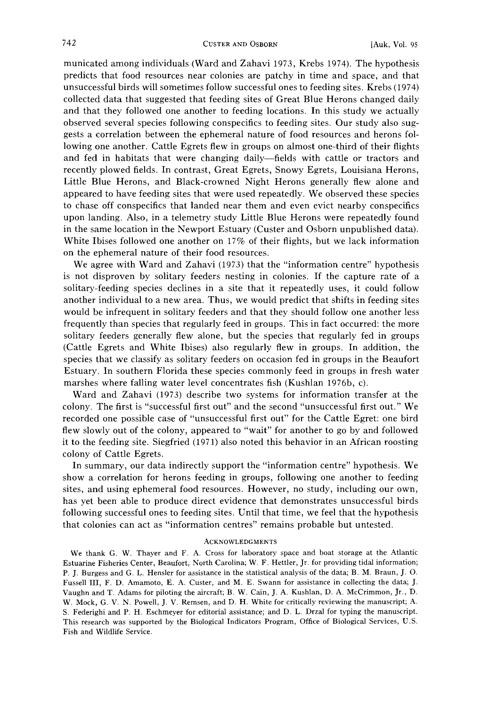**municated among individuals (Ward and Zahavi 1973, Krebs 1974). The hypothesis predicts that food resources near colonies are patchy in time and space, and that unsuccessful birds will sometimes follow successful ones to feeding sites. Krebs (1974) collected data that suggested that feeding sites of Great Blue Herons changed daily and that they followed one another to feeding locations. In this study we actually observed several species following conspecifics to feeding sites. Our study also suggests a correlation between the ephemeral nature of food resources and herons following one another. Cattle Egrets flew in groups on almost one-third of their flights and fed in habitats that were changing daily--fields with cattle or tractors and recently plowed fields. In contrast, Great Egrets, Snowy Egrets, Louisiana Herons, Little Blue Herons, and Black-crowned Night Herons generally flew alone and appeared to have feeding sites that were used repeatedly. We observed these species to chase off conspecifics that landed near them and even evict nearby conspecifics upon landing. Also, in a telemetry study Little Blue Herons were repeatedly found in the same location in the Newport Estuary (Custer and Osborn unpublished data). White Ibises followed one another on 17% of their flights, but we lack information on the ephemeral nature of their food resources.** 

**We agree with Ward and Zahavi (1973) that the "information centre" hypothesis is not disproven by solitary feeders nesting in colonies. If the capture rate of a solitary-feeding species declines in a site that it repeatedly uses, it could follow another individual to a new area. Thus, we would predict that shifts in feeding sites would be infrequent in solitary feeders and that they should follow one another less frequently than species that regularly feed in groups. This in fact occurred: the more solitary feeders generally flew alone, but the species that regularly fed in groups (Cattle Egrets and White Ibises) also regularly flew in groups. In addition, the species that we classify as solitary feeders on occasion fed in groups in the Beaufort Estuary. In southern Florida these species commonly feed in groups in fresh water marshes where falling water level concentrates fish (Kushlan 1976b, c).** 

**Ward and Zahavi (1973) describe two systems for information transfer at the colony. The first is "successful first out" and the second "unsuccessful first out." We recorded one possible case of "unsuccessful first out" for the Cattle Egret: one bird flew slowly out of the colony, appeared to "wait" for another to go by and followed it to the feeding site. Siegfried (1971) also noted this behavior in an African roosting colony of Cattle Egrets.** 

**In summary, our data indirectly support the "information centre" hypothesis. We show a correlation for herons feeding in groups, following one another to feeding sites, and using ephemeral food resources. However, no study, including our own, has yet been able to produce direct evidence that demonstrates unsuccessful birds following successful ones to feeding sites. Until that time, we feel that the hypothesis that colonies can act as "information centres" remains probable but untested.** 

### **ACKNOWLEDGMENTS**

**We thank G. W. Thayer and F. A. Cross for laboratory space and boat storage at the Atlantic Estuarine Fisheries Center, Beaufort, North Carolina; W. F. Hettler, Jr. for providing tidal information; P. J. Burgess and G. L. Hensler for assistance inthe statistical analysis of the data; B. M. Braun, J. O. Fussell III, F. D. Amamoto, E. A. Custer, and M. E. Swann for assistance in collecting the data; J. Vaughn and T. Adams for piloting the aircraft; B. W. Cain, J. A. Kushlan, D. A. McCrimmon, Jr., D. W. Mock, G. V. N. Powell, J. V. Remsen, and D. H. White for critically reviewing the manuscript; A. S. Federighi and P. H. Eschmeyer for editorial assistance; and D. L. Drzal for typing the manuscript. This research was supported by the Biological Indicators Program, Office of Biological Services, U.S. Fish and Wildlife Service.**